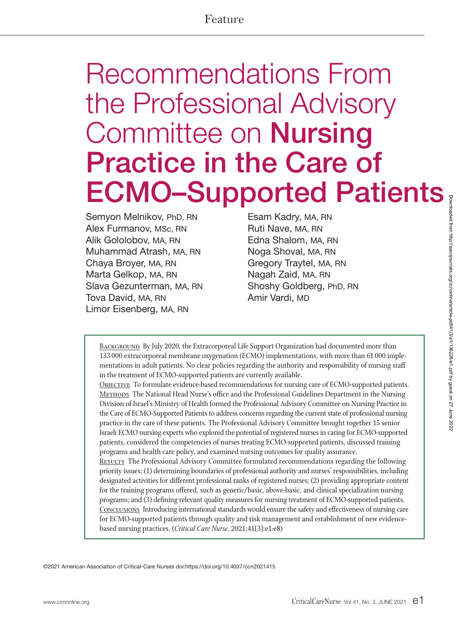# Feature

# Recommendations From the Professional Advisory Committee on Nursing Practice in the Care of ECMO–Supported Patients

Semyon Melnikov, PhD, RN Alex Furmanov, MSc, RN Alik Gololobov, MA, RN Muhammad Atrash, MA, RN Chaya Broyer, MA, RN Marta Gelkop, MA, RN Slava Gezunterman, MA, RN Tova David, MA, RN Limor Eisenberg, MA, RN

Esam Kadry, MA, RN Ruti Nave, MA, RN Edna Shalom, MA, RN Noga Shoval, MA, RN Gregory Traytel, MA, RN Nagah Zaid, MA, RN Shoshy Goldberg, PhD, RN Amir Vardi, MD

BACKGROUND By July 2020, the Extracorporeal Life Support Organization had documented more than 133 000 extracorporeal membrane oxygenation (ECMO) implementations, with more than 61 000 implementations in adult patients. No clear policies regarding the authority and responsibility of nursing staff in the treatment of ECMO-supported patients are currently available.

OBJECTIVE To formulate evidence-based recommendations for nursing care of ECMO-supported patients. METHODS The National Head Nurse's office and the Professional Guidelines Department in the Nursing Division of Israel's Ministry of Health formed the Professional Advisory Committee on Nursing Practice in the Care of ECMO-Supported Patients to address concerns regarding the current state of professional nursing practice in the care of these patients. The Professional Advisory Committee brought together 15 senior Israeli ECMO nursing experts who explored the potential of registered nurses in caring for ECMO-supported patients, considered the competencies of nurses treating ECMO-supported patients, discussed training programs and health care policy, and examined nursing outcomes for quality assurance.

RESULTS The Professional Advisory Committee formulated recommendations regarding the following priority issues: (1) determining boundaries of professional authority and nurses' responsibilities, including designated activities for different professional ranks of registered nurses; (2) providing appropriate content for the training programs offered, such as generic/basic, above-basic, and clinical specialization nursing programs; and (3) defining relevant quality measures for nursing treatment of ECMO-supported patients. Conclusions Introducing international standards would ensure the safety and effectiveness of nursing care for ECMO-supported patients through quality and risk management and establishment of new evidencebased nursing practices. (*Critical Care Nurse*. 2021;41[3]:e1-e8)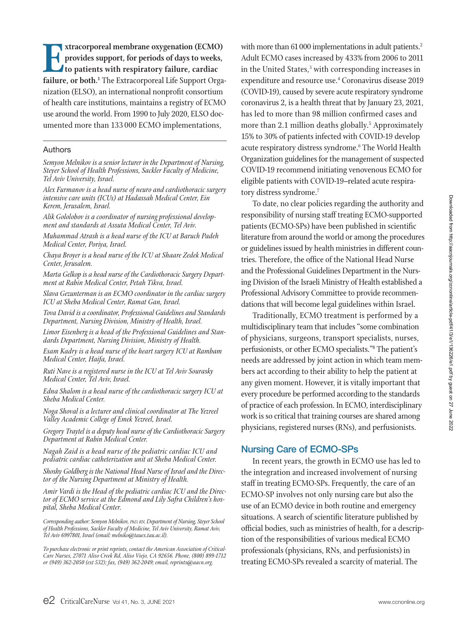**Extracorporeal membrane oxygenation (ECMO)**<br> **Extract provides support, for periods of days to weeks,**<br> **Extract to patients with respiratory failure, cardiac**<br> **Extracorporeal Life Support Orga provides support, for periods of days to weeks, to patients with respiratory failure, cardiac**  failure, or both.<sup>1</sup> The Extracorporeal Life Support Organization (ELSO), an international nonprofit consortium of health care institutions, maintains a registry of ECMO use around the world. From 1990 to July 2020, ELSO documented more than 133 000 ECMO implementations,

#### Authors

*Semyon Melnikov is a senior lecturer in the Department of Nursing, Steyer School of Health Professions, Sackler Faculty of Medicine, Tel Aviv University, Israel.* 

*Alex Furmanov is a head nurse of neuro and cardiothoracic surgery intensive care units (ICUs) at Hadassah Medical Center, Ein Kerem, Jerusalem, Israel.*

*Alik Gololobov is a coordinator of nursing professional develop- ment and standards at Assuta Medical Center, Tel Aviv.*

*Muhammad Atrash is a head nurse of the ICU at Baruch Padeh Medical Center, Poriya, Israel.*

*Chaya Broyer is a head nurse of the ICU at Shaare Zedek Medical Center, Jerusalem.*

*Marta Gelkop is a head nurse of the Cardiothoracic Surgery Depart- ment at Rabin Medical Center, Petah Tikva, Israel.*

*Slava Gezunterman is an ECMO coordinator in the cardiac surgery ICU at Sheba Medical Center, Ramat Gan, Israel.*

*Tova David is a coordinator, Professional Guidelines and Standards Department, Nursing Division, Ministry of Health, Israel.*

*Limor Eisenberg is a head of the Professional Guidelines and Standards Department, Nursing Division, Ministry of Health.*

*Esam Kadry is a head nurse of the heart surgery ICU at Rambam Medical Center, Haifa, Israel.*

*Ruti Nave is a registered nurse in the ICU at Tel Aviv Sourasky Medical Center, Tel Aviv, Israel.*

*Edna Shalom is a head nurse of the cardiothoracic surgery ICU at Sheba Medical Center.*

*Noga Shoval is a lecturer and clinical coordinator at The Yezreel Valley Academic College of Emek Yezreel, Israel.* 

*Gregory Traytel is a deputy head nurse of the Cardiothoracic Surgery Department at Rabin Medical Center.*

*Nagah Zaid is a head nurse of the pediatric cardiac ICU and pediatric cardiac catheterization unit at Sheba Medical Center.*

*Shoshy Goldberg is the National Head Nurse of Israel and the Director of the Nursing Department at Ministry of Health.*

*Amir Vardi is the Head of the pediatric cardiac ICU and the Direc- tor of ECMO service at the Edmond and Lily Safra Children's hospital, Sheba Medical Center.*

*Corresponding author: Semyon Melnikov, PhD, RN, Department of Nursing, Steyer School of Health Professions, Sackler Faculty of Medicine, Tel Aviv University, Ramat Aviv, Tel Aviv 6997801, Israel (email: melniko@tauex.tau.ac.il).* 

*To purchase electronic or print reprints, contact the American Association of Critical-Care Nurses, 27071 Aliso Creek Rd, Aliso Viejo, CA 92656. Phone, (800) 899-1712 or (949) 362-2050 (ext 532); fax, (949) 362-2049; email, reprints@aacn.org.*

with more than 61 000 implementations in adult patients.<sup>2</sup> Adult ECMO cases increased by 433% from 2006 to 2011 in the United States,<sup>3</sup> with corresponding increases in expenditure and resource use.4 Coronavirus disease 2019 (COVID-19), caused by severe acute respiratory syndrome coronavirus 2, is a health threat that by January 23, 2021, has led to more than 98 million confirmed cases and more than 2.1 million deaths globally.<sup>5</sup> Approximately 15% to 30% of patients infected with COVID-19 develop acute respiratory distress syndrome.<sup>6</sup> The World Health Organization guidelines for the management of suspected COVID-19 recommend initiating venovenous ECMO for eligible patients with COVID-19–related acute respiratory distress syndrome.<sup>7</sup>

To date, no clear policies regarding the authority and responsibility of nursing staff treating ECMO-supported patients (ECMO-SPs) have been published in scientific literature from around the world or among the procedures or guidelines issued by health ministries in different countries. Therefore, the office of the National Head Nurse and the Professional Guidelines Department in the Nursing Division of the Israeli Ministry of Health established a Professional Advisory Committee to provide recommendations that will become legal guidelines within Israel.

Traditionally, ECMO treatment is performed by a multidisciplinary team that includes "some combination of physicians, surgeons, transport specialists, nurses, perfusionists, or other ECMO specialists."8 The patient's needs are addressed by joint action in which team members act according to their ability to help the patient at any given moment. However, it is vitally important that every procedure be performed according to the standards of practice of each profession. In ECMO, interdisciplinary work is so critical that training courses are shared among physicians, registered nurses (RNs), and perfusionists.

#### Nursing Care of ECMO-SPs

In recent years, the growth in ECMO use has led to the integration and increased involvement of nursing staff in treating ECMO-SPs. Frequently, the care of an ECMO-SP involves not only nursing care but also the use of an ECMO device in both routine and emergency situations. A search of scientific literature published by official bodies, such as ministries of health, for a description of the responsibilities of various medical ECMO professionals (physicians, RNs, and perfusionists) in treating ECMO-SPs revealed a scarcity of material. The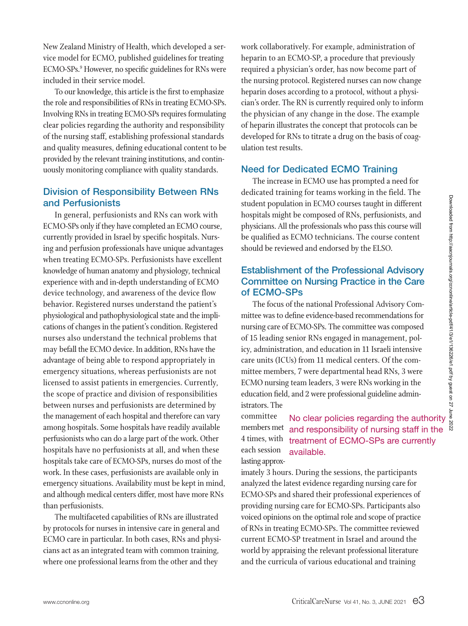New Zealand Ministry of Health, which developed a service model for ECMO, published guidelines for treating ECMO-SPs. 9 However, no specific guidelines for RNs were included in their service model.

To our knowledge, this article is the first to emphasize the role and responsibilities of RNs in treating ECMO-SPs. Involving RNs in treating ECMO-SPs requires formulating clear policies regarding the authority and responsibility of the nursing staff, establishing professional standards and quality measures, defining educational content to be provided by the relevant training institutions, and continuously monitoring compliance with quality standards.

### Division of Responsibility Between RNs and Perfusionists

In general, perfusionists and RNs can work with ECMO-SPs only if they have completed an ECMO course, currently provided in Israel by specific hospitals. Nursing and perfusion professionals have unique advantages when treating ECMO-SPs. Perfusionists have excellent knowledge of human anatomy and physiology, technical experience with and in-depth understanding of ECMO device technology, and awareness of the device flow behavior. Registered nurses understand the patient's physiological and pathophysiological state and the implications of changes in the patient's condition. Registered nurses also understand the technical problems that may befall the ECMO device. In addition, RNs have the advantage of being able to respond appropriately in emergency situations, whereas perfusionists are not licensed to assist patients in emergencies. Currently, the scope of practice and division of responsibilities between nurses and perfusionists are determined by the management of each hospital and therefore can vary among hospitals. Some hospitals have readily available perfusionists who can do a large part of the work. Other hospitals have no perfusionists at all, and when these hospitals take care of ECMO-SPs, nurses do most of the work. In these cases, perfusionists are available only in emergency situations. Availability must be kept in mind, and although medical centers differ, most have more RNs than perfusionists.

The multifaceted capabilities of RNs are illustrated by protocols for nurses in intensive care in general and ECMO care in particular. In both cases, RNs and physicians act as an integrated team with common training, where one professional learns from the other and they

work collaboratively. For example, administration of heparin to an ECMO-SP, a procedure that previously required a physician's order, has now become part of the nursing protocol. Registered nurses can now change heparin doses according to a protocol, without a physician's order. The RN is currently required only to inform the physician of any change in the dose. The example of heparin illustrates the concept that protocols can be developed for RNs to titrate a drug on the basis of coagulation test results.

#### Need for Dedicated ECMO Training

The increase in ECMO use has prompted a need for dedicated training for teams working in the field. The student population in ECMO courses taught in different hospitals might be composed of RNs, perfusionists, and physicians. All the professionals who pass this course will be qualified as ECMO technicians. The course content should be reviewed and endorsed by the ELSO.

## Establishment of the Professional Advisory Committee on Nursing Practice in the Care of ECMO-SPs

Migheritan shows the professional in different<br>the composed of RNs, perfusionists, and<br>the professionals who pass this course will<br>exceed and endorsed by the ELSO.<br>**ECMO technicians.** The course content<br>exed and endorsed b The focus of the national Professional Advisory Committee was to define evidence-based recommendations for nursing care of ECMO-SPs. The committee was composed of 15 leading senior RNs engaged in management, policy, administration, and education in 11 Israeli intensive care units (ICUs) from 11 medical centers. Of the committee members, 7 were departmental head RNs, 3 were ECMO nursing team leaders, 3 were RNs working in the education field, and 2 were professional guideline administrators. The

#### members met and responsibility of nursing staff in the treatment of ECMO-SPs are currently available. committee 4 times, with each session lasting approx-

imately 3 hours. During the sessions, the participants analyzed the latest evidence regarding nursing care for ECMO-SPs and shared their professional experiences of providing nursing care for ECMO-SPs. Participants also voiced opinions on the optimal role and scope of practice of RNs in treating ECMO-SPs. The committee reviewed current ECMO-SP treatment in Israel and around the world by appraising the relevant professional literature and the curricula of various educational and training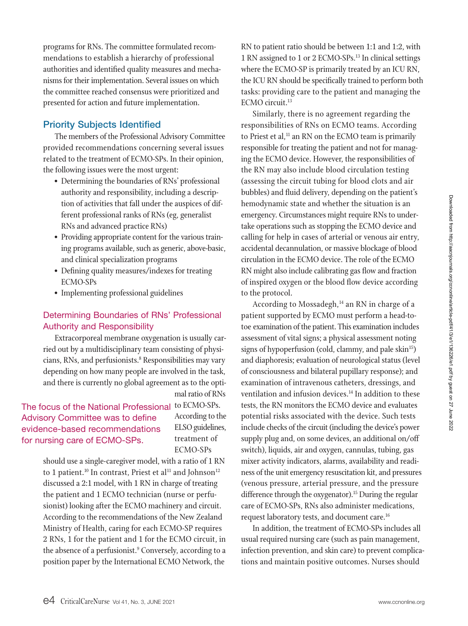programs for RNs. The committee formulated recommendations to establish a hierarchy of professional authorities and identified quality measures and mechanisms for their implementation. Several issues on which the committee reached consensus were prioritized and presented for action and future implementation.

#### Priority Subjects Identified

The members of the Professional Advisory Committee provided recommendations concerning several issues related to the treatment of ECMO-SPs. In their opinion, the following issues were the most urgent:

- Determining the boundaries of RNs' professional authority and responsibility, including a description of activities that fall under the auspices of different professional ranks of RNs (eg, generalist RNs and advanced practice RNs)
- Providing appropriate content for the various training programs available, such as generic, above-basic, and clinical specialization programs
- Defining quality measures/indexes for treating ECMO-SPs
- Implementing professional guidelines

#### Determining Boundaries of RNs' Professional Authority and Responsibility

Extracorporeal membrane oxygenation is usually carried out by a multidisciplinary team consisting of physicians, RNs, and perfusionists.<sup>8</sup> Responsibilities may vary depending on how many people are involved in the task, and there is currently no global agreement as to the opti-

## The focus of the National Professional to ECMO-SPs. Advisory Committee was to define evidence-based recommendations for nursing care of ECMO-SPs.

According to the ELSO guidelines, treatment of ECMO-SPs

mal ratio of RNs

should use a single-caregiver model, with a ratio of 1 RN to 1 patient.<sup>10</sup> In contrast, Priest et al<sup>11</sup> and Johnson<sup>12</sup> discussed a 2:1 model, with 1 RN in charge of treating the patient and 1 ECMO technician (nurse or perfusionist) looking after the ECMO machinery and circuit. According to the recommendations of the New Zealand Ministry of Health, caring for each ECMO-SP requires 2 RNs, 1 for the patient and 1 for the ECMO circuit, in the absence of a perfusionist.<sup>9</sup> Conversely, according to a position paper by the International ECMO Network, the

RN to patient ratio should be between 1:1 and 1:2, with 1 RN assigned to 1 or 2 ECMO-SPs. 13 In clinical settings where the ECMO-SP is primarily treated by an ICU RN, the ICU RN should be specifically trained to perform both tasks: providing care to the patient and managing the  $ECMO$  circuit.<sup>13</sup>

Similarly, there is no agreement regarding the responsibilities of RNs on ECMO teams. According to Priest et al, $11$  an RN on the ECMO team is primarily responsible for treating the patient and not for managing the ECMO device. However, the responsibilities of the RN may also include blood circulation testing (assessing the circuit tubing for blood clots and air bubbles) and fluid delivery, depending on the patient's hemodynamic state and whether the situation is an emergency. Circumstances might require RNs to undertake operations such as stopping the ECMO device and calling for help in cases of arterial or venous air entry, accidental decannulation, or massive blockage of blood circulation in the ECMO device. The role of the ECMO RN might also include calibrating gas flow and fraction of inspired oxygen or the blood flow device according to the protocol.

According to Mossadegh,<sup>14</sup> an RN in charge of a patient supported by ECMO must perform a head-totoe examination of the patient. This examination includes assessment of vital signs; a physical assessment noting signs of hypoperfusion (cold, clammy, and pale skin<sup>15</sup>) and diaphoresis; evaluation of neurological status (level of consciousness and bilateral pupillary response); and examination of intravenous catheters, dressings, and ventilation and infusion devices.<sup>14</sup> In addition to these tests, the RN monitors the ECMO device and evaluates potential risks associated with the device. Such tests include checks of the circuit (including the device's power supply plug and, on some devices, an additional on/off switch), liquids, air and oxygen, cannulas, tubing, gas mixer activity indicators, alarms, availability and readiness of the unit emergency resuscitation kit, and pressures (venous pressure, arterial pressure, and the pressure difference through the oxygenator).<sup>15</sup> During the regular care of ECMO-SPs, RNs also administer medications, request laboratory tests, and document care.<sup>16</sup>

In addition, the treatment of ECMO-SPs includes all usual required nursing care (such as pain management, infection prevention, and skin care) to prevent complications and maintain positive outcomes. Nurses should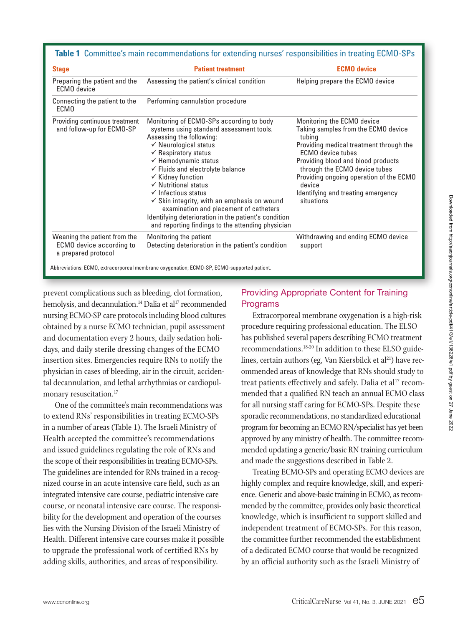|  |  | Table 1 Committee's main recommendations for extending nurses' responsibilities in treating ECMO-SPs |  |  |  |
|--|--|------------------------------------------------------------------------------------------------------|--|--|--|
|--|--|------------------------------------------------------------------------------------------------------|--|--|--|

| <b>Stage</b>                                                                                                                                                                                                                                                                                                                                                                                                                                                                                                                                                                                                                                                   | <b>Patient treatment</b>                                                                   | <b>ECMO</b> device                                                                                                                                                                                                                                                                                                                 |
|----------------------------------------------------------------------------------------------------------------------------------------------------------------------------------------------------------------------------------------------------------------------------------------------------------------------------------------------------------------------------------------------------------------------------------------------------------------------------------------------------------------------------------------------------------------------------------------------------------------------------------------------------------------|--------------------------------------------------------------------------------------------|------------------------------------------------------------------------------------------------------------------------------------------------------------------------------------------------------------------------------------------------------------------------------------------------------------------------------------|
| Preparing the patient and the<br>ECMO device                                                                                                                                                                                                                                                                                                                                                                                                                                                                                                                                                                                                                   | Assessing the patient's clinical condition                                                 | Helping prepare the ECMO device                                                                                                                                                                                                                                                                                                    |
| Connecting the patient to the<br>ECM <sub>0</sub>                                                                                                                                                                                                                                                                                                                                                                                                                                                                                                                                                                                                              | Performing cannulation procedure                                                           |                                                                                                                                                                                                                                                                                                                                    |
| Providing continuous treatment<br>Monitoring of ECMO-SPs according to body<br>and follow-up for ECMO-SP<br>systems using standard assessment tools.<br>Assessing the following:<br>$\checkmark$ Neurological status<br>$\checkmark$ Respiratory status<br>$\checkmark$ Hemodynamic status<br>$\checkmark$ Fluids and electrolyte balance<br>$\checkmark$ Kidney function<br>$\checkmark$ Nutritional status<br>$\checkmark$ Infectious status<br>$\checkmark$ Skin integrity, with an emphasis on wound<br>examination and placement of catheters<br>Identifying deterioration in the patient's condition<br>and reporting findings to the attending physician |                                                                                            | Monitoring the ECMO device<br>Taking samples from the ECMO device<br>tubing<br>Providing medical treatment through the<br><b>FCMO</b> device tubes<br>Providing blood and blood products<br>through the ECMO device tubes<br>Providing ongoing operation of the ECMO<br>device<br>Identifying and treating emergency<br>situations |
| Weaning the patient from the<br><b>ECMO</b> device according to<br>a prepared protocol                                                                                                                                                                                                                                                                                                                                                                                                                                                                                                                                                                         | Monitoring the patient<br>Detecting deterioration in the patient's condition               | Withdrawing and ending ECMO device<br>support                                                                                                                                                                                                                                                                                      |
|                                                                                                                                                                                                                                                                                                                                                                                                                                                                                                                                                                                                                                                                | Abbreviations: ECMO, extracorporeal membrane oxygenation; ECMO-SP, ECMO-supported patient. |                                                                                                                                                                                                                                                                                                                                    |

prevent complications such as bleeding, clot formation, hemolysis, and decannulation.<sup>14</sup> Dalia et al<sup>17</sup> recommended nursing ECMO-SP care protocols including blood cultures obtained by a nurse ECMO technician, pupil assessment and documentation every 2 hours, daily sedation holidays, and daily sterile dressing changes of the ECMO insertion sites. Emergencies require RNs to notify the physician in cases of bleeding, air in the circuit, accidental decannulation, and lethal arrhythmias or cardiopulmonary resuscitation.<sup>17</sup>

One of the committee's main recommendations was to extend RNs' responsibilities in treating ECMO-SPs in a number of areas (Table 1). The Israeli Ministry of Health accepted the committee's recommendations and issued guidelines regulating the role of RNs and the scope of their responsibilities in treating ECMO-SPs. The guidelines are intended for RNs trained in a recognized course in an acute intensive care field, such as an integrated intensive care course, pediatric intensive care course, or neonatal intensive care course. The responsibility for the development and operation of the courses lies with the Nursing Division of the Israeli Ministry of Health. Different intensive care courses make it possible to upgrade the professional work of certified RNs by adding skills, authorities, and areas of responsibility.

# Providing Appropriate Content for Training Programs

Extracorporeal membrane oxygenation is a high-risk procedure requiring professional education. The ELSO has published several papers describing ECMO treatment recommendations.18-20 In addition to these ELSO guidelines, certain authors (eg, Van Kiersbilck et al<sup>21</sup>) have recommended areas of knowledge that RNs should study to treat patients effectively and safely. Dalia et al<sup>17</sup> recommended that a qualified RN teach an annual ECMO class for all nursing staff caring for ECMO-SPs. Despite these sporadic recommendations, no standardized educational program for becoming an ECMO RN/specialist has yet been approved by any ministry of health. The committee recommended updating a generic/basic RN training curriculum and made the suggestions described in Table 2.

Treating ECMO-SPs and operating ECMO devices are highly complex and require knowledge, skill, and experience. Generic and above-basic training in ECMO, as recommended by the committee, provides only basic theoretical knowledge, which is insufficient to support skilled and independent treatment of ECMO-SPs. For this reason, the committee further recommended the establishment of a dedicated ECMO course that would be recognized by an official authority such as the Israeli Ministry of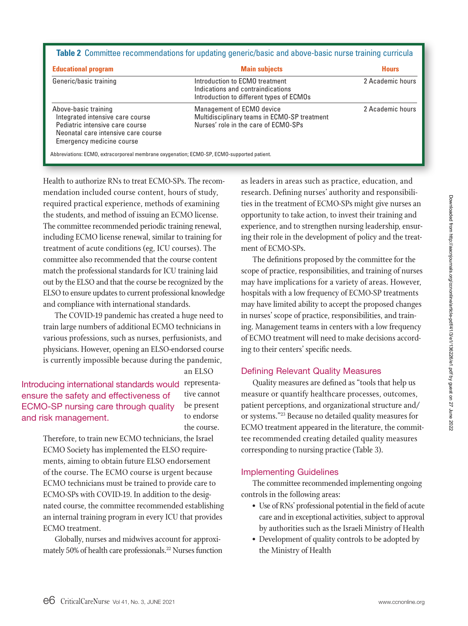| <b>Educational program</b>                                                                                                                                      | <b>Main subjects</b>                                                                                              | <b>Hours</b>     |
|-----------------------------------------------------------------------------------------------------------------------------------------------------------------|-------------------------------------------------------------------------------------------------------------------|------------------|
| Generic/basic training                                                                                                                                          | Introduction to ECMO treatment<br>Indications and contraindications<br>Introduction to different types of ECMOs   | 2 Academic hours |
| Above-basic training<br>Integrated intensive care course<br>Pediatric intensive care course<br>Neonatal care intensive care course<br>Emergency medicine course | Management of ECMO device<br>Multidisciplinary teams in ECMO-SP treatment<br>Nurses' role in the care of ECMO-SPs | 2 Academic hours |

Health to authorize RNs to treat ECMO-SPs. The recommendation included course content, hours of study, required practical experience, methods of examining the students, and method of issuing an ECMO license. The committee recommended periodic training renewal, including ECMO license renewal, similar to training for treatment of acute conditions (eg, ICU courses). The committee also recommended that the course content match the professional standards for ICU training laid out by the ELSO and that the course be recognized by the ELSO to ensure updates to current professional knowledge and compliance with international standards.

The COVID-19 pandemic has created a huge need to train large numbers of additional ECMO technicians in various professions, such as nurses, perfusionists, and physicians. However, opening an ELSO-endorsed course is currently impossible because during the pandemic,

an ELSO

Introducing international standards would representaensure the safety and effectiveness of ECMO-SP nursing care through quality and risk management.

tive cannot be present to endorse the course.

Therefore, to train new ECMO technicians, the Israel ECMO Society has implemented the ELSO requirements, aiming to obtain future ELSO endorsement of the course. The ECMO course is urgent because ECMO technicians must be trained to provide care to ECMO-SPs with COVID-19. In addition to the designated course, the committee recommended establishing an internal training program in every ICU that provides ECMO treatment.

Globally, nurses and midwives account for approximately 50% of health care professionals.<sup>22</sup> Nurses function as leaders in areas such as practice, education, and research. Defining nurses' authority and responsibilities in the treatment of ECMO-SPs might give nurses an opportunity to take action, to invest their training and experience, and to strengthen nursing leadership, ensuring their role in the development of policy and the treatment of ECMO-SPs.

The definitions proposed by the committee for the scope of practice, responsibilities, and training of nurses may have implications for a variety of areas. However, hospitals with a low frequency of ECMO-SP treatments may have limited ability to accept the proposed changes in nurses' scope of practice, responsibilities, and training. Management teams in centers with a low frequency of ECMO treatment will need to make decisions according to their centers' specific needs.

#### Defining Relevant Quality Measures

Quality measures are defined as "tools that help us measure or quantify healthcare processes, outcomes, patient perceptions, and organizational structure and/ or systems."23 Because no detailed quality measures for ECMO treatment appeared in the literature, the committee recommended creating detailed quality measures corresponding to nursing practice (Table 3).

#### Implementing Guidelines

The committee recommended implementing ongoing controls in the following areas:

- Use of RNs' professional potential in the field of acute care and in exceptional activities, subject to approval by authorities such as the Israeli Ministry of Health
- Development of quality controls to be adopted by the Ministry of Health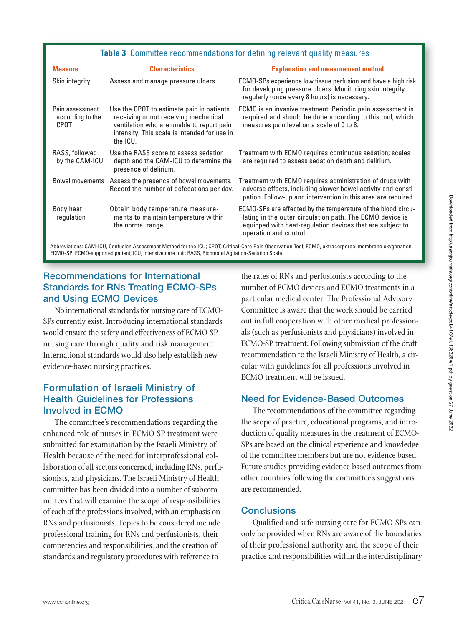#### **Table 3** Committee recommendations for defining relevant quality measures

| <b>Measure</b>                              | <b>Characteristics</b>                                                                                                                                                                      | <b>Explanation and measurement method</b>                                                                                                                                                                       |
|---------------------------------------------|---------------------------------------------------------------------------------------------------------------------------------------------------------------------------------------------|-----------------------------------------------------------------------------------------------------------------------------------------------------------------------------------------------------------------|
| Skin integrity                              | Assess and manage pressure ulcers.                                                                                                                                                          | ECMO-SPs experience low tissue perfusion and have a high risk<br>for developing pressure ulcers. Monitoring skin integrity<br>regularly (once every 8 hours) is necessary.                                      |
| Pain assessment<br>according to the<br>CPOT | Use the CPOT to estimate pain in patients<br>receiving or not receiving mechanical<br>ventilation who are unable to report pain<br>intensity. This scale is intended for use in<br>the ICU. | ECMO is an invasive treatment. Periodic pain assessment is<br>required and should be done according to this tool, which<br>measures pain level on a scale of 0 to 8.                                            |
| RASS, followed<br>by the CAM-ICU            | Use the RASS score to assess sedation<br>depth and the CAM-ICU to determine the<br>presence of delirium.                                                                                    | Treatment with ECMO requires continuous sedation; scales<br>are required to assess sedation depth and delirium.                                                                                                 |
| <b>Bowel movements</b>                      | Assess the presence of bowel movements.<br>Record the number of defecations per day.                                                                                                        | Treatment with ECMO requires administration of drugs with<br>adverse effects, including slower bowel activity and consti-<br>pation. Follow-up and intervention in this area are required.                      |
| Body heat<br>regulation                     | Obtain body temperature measure-<br>ments to maintain temperature within<br>the normal range.                                                                                               | ECMO-SPs are affected by the temperature of the blood circu-<br>lating in the outer circulation path. The ECMO device is<br>equipped with heat-regulation devices that are subject to<br>operation and control. |
|                                             | ECMO-SP, ECMO-supported patient; ICU, intensive care unit; RASS, Richmond Agitation-Sedation Scale.                                                                                         | Abbreviations: CAM-ICU, Confusion Assessment Method for the ICU; CPOT, Critical-Care Pain Observation Tool; ECMO, extracorporeal membrane oxygenation;                                                          |

### Recommendations for International Standards for RNs Treating ECMO-SPs and Using ECMO Devices

No international standards for nursing care of ECMO-SPs currently exist. Introducing international standards would ensure the safety and effectiveness of ECMO-SP nursing care through quality and risk management. International standards would also help establish new evidence-based nursing practices.

## Formulation of Israeli Ministry of Health Guidelines for Professions Involved in ECMO

The committee's recommendations regarding the enhanced role of nurses in ECMO-SP treatment were submitted for examination by the Israeli Ministry of Health because of the need for interprofessional collaboration of all sectors concerned, including RNs, perfusionists, and physicians. The Israeli Ministry of Health committee has been divided into a number of subcommittees that will examine the scope of responsibilities of each of the professions involved, with an emphasis on RNs and perfusionists. Topics to be considered include professional training for RNs and perfusionists, their competencies and responsibilities, and the creation of standards and regulatory procedures with reference to

the rates of RNs and perfusionists according to the number of ECMO devices and ECMO treatments in a particular medical center. The Professional Advisory Committee is aware that the work should be carried out in full cooperation with other medical professionals (such as perfusionists and physicians) involved in ECMO-SP treatment. Following submission of the draft recommendation to the Israeli Ministry of Health, a circular with guidelines for all professions involved in ECMO treatment will be issued.

#### Need for Evidence-Based Outcomes

The recommendations of the committee regarding the scope of practice, educational programs, and introduction of quality measures in the treatment of ECMO-SPs are based on the clinical experience and knowledge of the committee members but are not evidence based. Future studies providing evidence-based outcomes from other countries following the committee's suggestions are recommended.

#### **Conclusions**

Qualified and safe nursing care for ECMO-SPs can only be provided when RNs are aware of the boundaries of their professional authority and the scope of their practice and responsibilities within the interdisciplinary